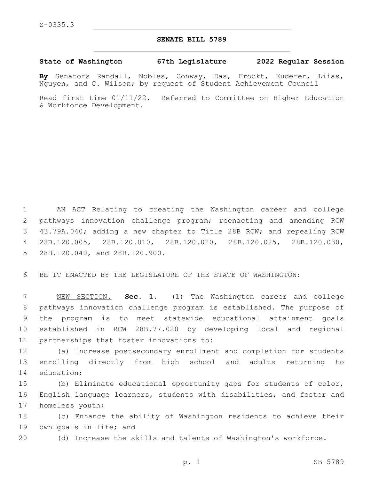## **SENATE BILL 5789**

**State of Washington 67th Legislature 2022 Regular Session**

**By** Senators Randall, Nobles, Conway, Das, Frockt, Kuderer, Liias, Nguyen, and C. Wilson; by request of Student Achievement Council

Read first time 01/11/22. Referred to Committee on Higher Education & Workforce Development.

 AN ACT Relating to creating the Washington career and college pathways innovation challenge program; reenacting and amending RCW 43.79A.040; adding a new chapter to Title 28B RCW; and repealing RCW 28B.120.005, 28B.120.010, 28B.120.020, 28B.120.025, 28B.120.030, 5 28B.120.040, and 28B.120.900.

6 BE IT ENACTED BY THE LEGISLATURE OF THE STATE OF WASHINGTON:

 NEW SECTION. **Sec. 1.** (1) The Washington career and college pathways innovation challenge program is established. The purpose of the program is to meet statewide educational attainment goals established in RCW 28B.77.020 by developing local and regional partnerships that foster innovations to:

12 (a) Increase postsecondary enrollment and completion for students 13 enrolling directly from high school and adults returning to 14 education;

15 (b) Eliminate educational opportunity gaps for students of color, 16 English language learners, students with disabilities, and foster and 17 homeless youth;

18 (c) Enhance the ability of Washington residents to achieve their 19 own goals in life; and

20 (d) Increase the skills and talents of Washington's workforce.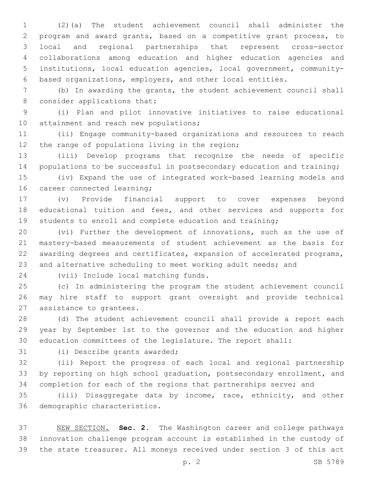(2)(a) The student achievement council shall administer the program and award grants, based on a competitive grant process, to local and regional partnerships that represent cross-sector collaborations among education and higher education agencies and institutions, local education agencies, local government, community-based organizations, employers, and other local entities.

 (b) In awarding the grants, the student achievement council shall 8 consider applications that:

 (i) Plan and pilot innovative initiatives to raise educational 10 attainment and reach new populations;

 (ii) Engage community-based organizations and resources to reach 12 the range of populations living in the region;

 (iii) Develop programs that recognize the needs of specific 14 populations to be successful in postsecondary education and training;

 (iv) Expand the use of integrated work-based learning models and 16 career connected learning;

 (v) Provide financial support to cover expenses beyond educational tuition and fees, and other services and supports for students to enroll and complete education and training;

 (vi) Further the development of innovations, such as the use of mastery-based measurements of student achievement as the basis for awarding degrees and certificates, expansion of accelerated programs, and alternative scheduling to meet working adult needs; and

24 (vii) Include local matching funds.

 (c) In administering the program the student achievement council may hire staff to support grant oversight and provide technical 27 assistance to grantees.

 (d) The student achievement council shall provide a report each year by September 1st to the governor and the education and higher education committees of the legislature. The report shall:

31 (i) Describe grants awarded;

 (ii) Report the progress of each local and regional partnership by reporting on high school graduation, postsecondary enrollment, and completion for each of the regions that partnerships serve; and

 (iii) Disaggregate data by income, race, ethnicity, and other 36 demographic characteristics.

 NEW SECTION. **Sec. 2.** The Washington career and college pathways innovation challenge program account is established in the custody of the state treasurer. All moneys received under section 3 of this act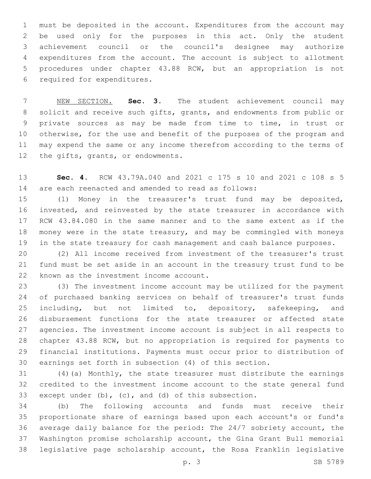must be deposited in the account. Expenditures from the account may be used only for the purposes in this act. Only the student achievement council or the council's designee may authorize expenditures from the account. The account is subject to allotment procedures under chapter 43.88 RCW, but an appropriation is not 6 required for expenditures.

 NEW SECTION. **Sec. 3.** The student achievement council may solicit and receive such gifts, grants, and endowments from public or private sources as may be made from time to time, in trust or otherwise, for the use and benefit of the purposes of the program and may expend the same or any income therefrom according to the terms of 12 the gifts, grants, or endowments.

 **Sec. 4.** RCW 43.79A.040 and 2021 c 175 s 10 and 2021 c 108 s 5 are each reenacted and amended to read as follows:

 (1) Money in the treasurer's trust fund may be deposited, invested, and reinvested by the state treasurer in accordance with RCW 43.84.080 in the same manner and to the same extent as if the money were in the state treasury, and may be commingled with moneys in the state treasury for cash management and cash balance purposes.

 (2) All income received from investment of the treasurer's trust fund must be set aside in an account in the treasury trust fund to be 22 known as the investment income account.

 (3) The investment income account may be utilized for the payment of purchased banking services on behalf of treasurer's trust funds 25 including, but not limited to, depository, safekeeping, and disbursement functions for the state treasurer or affected state agencies. The investment income account is subject in all respects to chapter 43.88 RCW, but no appropriation is required for payments to financial institutions. Payments must occur prior to distribution of earnings set forth in subsection (4) of this section.

 (4)(a) Monthly, the state treasurer must distribute the earnings credited to the investment income account to the state general fund except under (b), (c), and (d) of this subsection.

 (b) The following accounts and funds must receive their proportionate share of earnings based upon each account's or fund's average daily balance for the period: The 24/7 sobriety account, the Washington promise scholarship account, the Gina Grant Bull memorial legislative page scholarship account, the Rosa Franklin legislative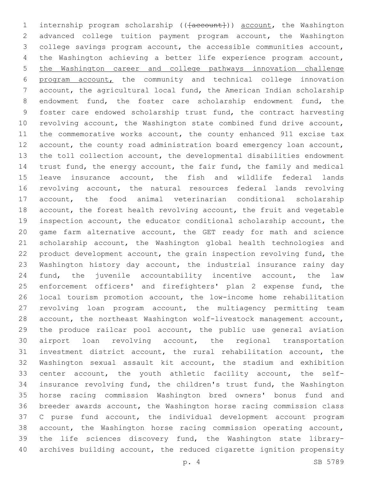1 internship program scholarship (( $\{a$ ccount)) account, the Washington advanced college tuition payment program account, the Washington college savings program account, the accessible communities account, the Washington achieving a better life experience program account, the Washington career and college pathways innovation challenge program account, the community and technical college innovation account, the agricultural local fund, the American Indian scholarship endowment fund, the foster care scholarship endowment fund, the foster care endowed scholarship trust fund, the contract harvesting revolving account, the Washington state combined fund drive account, the commemorative works account, the county enhanced 911 excise tax 12 account, the county road administration board emergency loan account, the toll collection account, the developmental disabilities endowment trust fund, the energy account, the fair fund, the family and medical leave insurance account, the fish and wildlife federal lands revolving account, the natural resources federal lands revolving account, the food animal veterinarian conditional scholarship account, the forest health revolving account, the fruit and vegetable inspection account, the educator conditional scholarship account, the game farm alternative account, the GET ready for math and science scholarship account, the Washington global health technologies and product development account, the grain inspection revolving fund, the Washington history day account, the industrial insurance rainy day fund, the juvenile accountability incentive account, the law 25 enforcement officers' and firefighters' plan 2 expense fund, the local tourism promotion account, the low-income home rehabilitation revolving loan program account, the multiagency permitting team account, the northeast Washington wolf-livestock management account, the produce railcar pool account, the public use general aviation airport loan revolving account, the regional transportation investment district account, the rural rehabilitation account, the Washington sexual assault kit account, the stadium and exhibition center account, the youth athletic facility account, the self- insurance revolving fund, the children's trust fund, the Washington horse racing commission Washington bred owners' bonus fund and breeder awards account, the Washington horse racing commission class C purse fund account, the individual development account program account, the Washington horse racing commission operating account, the life sciences discovery fund, the Washington state library-archives building account, the reduced cigarette ignition propensity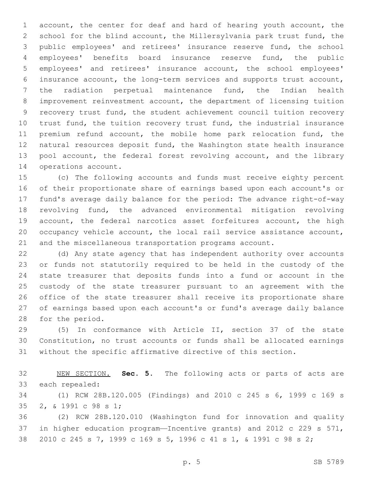account, the center for deaf and hard of hearing youth account, the school for the blind account, the Millersylvania park trust fund, the public employees' and retirees' insurance reserve fund, the school employees' benefits board insurance reserve fund, the public employees' and retirees' insurance account, the school employees' insurance account, the long-term services and supports trust account, the radiation perpetual maintenance fund, the Indian health improvement reinvestment account, the department of licensing tuition recovery trust fund, the student achievement council tuition recovery trust fund, the tuition recovery trust fund, the industrial insurance premium refund account, the mobile home park relocation fund, the natural resources deposit fund, the Washington state health insurance 13 pool account, the federal forest revolving account, and the library 14 operations account.

 (c) The following accounts and funds must receive eighty percent of their proportionate share of earnings based upon each account's or fund's average daily balance for the period: The advance right-of-way revolving fund, the advanced environmental mitigation revolving 19 account, the federal narcotics asset forfeitures account, the high occupancy vehicle account, the local rail service assistance account, and the miscellaneous transportation programs account.

 (d) Any state agency that has independent authority over accounts or funds not statutorily required to be held in the custody of the state treasurer that deposits funds into a fund or account in the custody of the state treasurer pursuant to an agreement with the office of the state treasurer shall receive its proportionate share of earnings based upon each account's or fund's average daily balance 28 for the period.

 (5) In conformance with Article II, section 37 of the state Constitution, no trust accounts or funds shall be allocated earnings without the specific affirmative directive of this section.

 NEW SECTION. **Sec. 5.** The following acts or parts of acts are each repealed:

 (1) RCW 28B.120.005 (Findings) and 2010 c 245 s 6, 1999 c 169 s 35 2, & 1991 c 98 s 1;

 (2) RCW 28B.120.010 (Washington fund for innovation and quality in higher education program—Incentive grants) and 2012 c 229 s 571, 2010 c 245 s 7, 1999 c 169 s 5, 1996 c 41 s 1, & 1991 c 98 s 2;